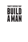# **thirty virtues that build a man**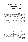### **WHAT OTHERS ARE SAYING ABOUT THIRTY VIRTUES THAT BUILD A MAN**

*BY VINCE MILLER*

*Despite what we may have heard, no man can truly thrive as a loner. We all need interaction with others, and especially other men. Vince Miller has put together a great resource for guys to come together and dig into the character traits that make us the type of men that God designed us to be.*

> **Jim Daly** President – Focus on the Family

*There is not a more critical time in the history of our country when male roles models are needed. Vince Miller is one of the men leading this charge. His vision for building better men through mentoring conversations around the Bible and brotherhood is what will aid in rebuilding the culture and men in our time.* 

#### **Michele Bachmann**

Politician, Speaker, & Presidential Candidate

*In* Thirty Virtues That Build a Man *I see the many years that Vince has invested into discipling men. This valuable resource reflects the wisdom gained through that Kingdom investment.*

#### **Brian Doyle**

Founder and President, Iron Sharpens Iron

*Vince has cracked the code! For 40 years of mentoring men I have wrestled with finding a process that prompts genuine dialogue without artificial structure. I instantly saw that* Thirty Virtues that Build a Man *is a simple, powerful tool that can be used at any level of making disciples.*

#### **Roger Thompson**

Author, Man in the Mirror Regional Director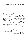*Vince Miller's books and materials for men are needed more than ever today because men are confused. In a world that has marginalized biblical masculinity;* Thirty Virtues That Build a Man *is a brilliant solution. Each chapter is concise, biblical, and practical. It's the perfect tool for any mentor, protégé, or man who wants to live as the best version of himself in Christ.*

**Jim Ramos**

Founder of The Great Hunt for God and Man Card Podcast

*Vince Miller is passionate about seeing men follow Jesus with all they've got and has written a book that will help them do just that!* Thirty Virtues That Build a Man *engages the reader with its easy-to-read format and then helps them apply the truths to their lives.* 

#### **Tom Henderson**

Speaker, Author and Founder of Restoration Generation

*Every man needs a mentor. And every mentor knows the power of great questions. Vince Miller has created a terrific resource to help the men you mentor live more intentionally.*

#### **Leary Gates**

Venture Coach & Founder, BoldPath Life Strategies

*Today, more than ever, men need focus and structure. Vince Miller, who has been encouraging men for over 20 years to grow in their faith, has given us just than in his new book* Thirty Virtues That Build a Man*. It is designed to be used solo or even more effectively as a mentoring guide in thirty 2-page lessons. That's the structure. The focus is on thirty virtues every man needs to integrate into his heart and mind. This is a tool every father, husband or grandfather can use to encourage and build up younger men. It is a blueprint for discipling and mentorship, just what those of us who want to be used to build up others have been waiting for.*

#### **Michael Card**

Singer/Songwriter, Author, & Speaker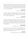*I'm grateful to recommend* Thirty Virtues That Build a Man *as a tool for any man serious about transformational living. Vince's book will foster meaningful conversations amongst men who desire personal growth for Kingdom impact. The church needs more men who are willing to be vulnerable with one another so we can live lives that matter for all of eternity. This book is one tangible way we can make that happen.*

#### **Jamie Miller**

President, Consumed Ministries

*Vince Miller understands the challenges men face in today's demanding society. In his newest book,* Thirty Virtues That Build a Man*. Vince gives fresh, clear, actionable solutions that can bring freedom, a new start and lasting results. This book is a game changer!*

#### **Ken Larson**

President, Slumberland Furniture

*Vince Miller's commitment and ministry to men is clear, passionate and unwavering. He has a calling that is undeniable and has a purpose for serving men. His content is incredible, and his delivery is authentic. He understands that all men need accountability and mentoring to be successful as husbands, fathers, grandfathers and as friends. Vince has my utmost respect and my committed prayers.*

#### **John Deedrick**

Managing Director, Fourth Element Capital

*The "Thirty" resources are exactly what men need today. Straight-forward, biblically-based, easy-to-use tools for men to use in private reflection or in mentoring. Using these resources, men will be challenged and equipped to experience the transforming power of Christ.* 

#### **Dan Busby**

President, Evangelical Christian Financial Association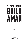# **thirty virtues that build a man**

A CONVERSATIONAL GUIDE FOR MENTORING ANY MAN

#### **VINCE MILLER**

**Equip Press** Colorado Springs, Colorado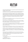

Thirty Virtues That Build a Man: A Conversational Guide for Mentoring Any Man Copyright © 2018 Vince Miller

All rights reserved. No part of this publication may be reproduced, distributed, or transmitted in any form or by any means, without prior written permission.

Scripture quotations marked (ESV) are taken from *The ESV® Bible (The Holy Bible, English Standard Version®)* copyright © 2001 by Crossway, a publishing ministry of Good News Publishers. ESV® Text Edition: 2011. The ESV® text has been reproduced in cooperation with and by permission of Good News Publishers. Unauthorized reproduction of this publication is prohibited. Used by permission. All rights reserved.

Scripture quotations marked (KJV) are taken from the *King James Bible*. Accessed on Bible Gateway at www.BibleGateway.com.

Scripture quotations marked (NASB) are taken from the *New American Standard Bible®* (NASB), copyright © 1960, 1962, 1963, 1968, 1971, 1972, 1973, 1975, 1977, 1995 by The Lockman Foundation, www.Lockman.org. Used by permission.

Scripture quotations marked (NIV) are taken from the *Holy Bible, New International Version*. Copyright © 1973, 1978, 1984, 2011 by Biblica, Inc.® Used by permission. All rights reserved worldwide.

Scripture quotations marked (NKJV) are taken from the *New King James Version®*. Copyright © 1982 by Thomas Nelson, Inc. Used by permission. All rights reserved.

Scripture quotations marked (NLT) are taken from the *Holy Bible, New Living Translation*, copyright © 1996, 2004, 2015 by Tyndale House Foundation. Used by permission of Tyndale House Publishers, Inc., Carol Stream, Illinois 60188. All rights reserved.

Scripture quotations marked (NRSV) are taken from the *New Revised Standard Version Bible*, copyright © 1989 the Division of Christian Education of the National Council of the Churches of Christ in the United States of America. Used by permission. All rights reserved.

First Edition: 2018 Thirty Virtues That Build a Man: A Conversational Guide for Mentoring Any Man / Vince Miller Paperback 978-1-946453-31-0 eBook ISBN: 978-1-946453-36-5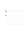| TO:   |  |  |  |
|-------|--|--|--|
| FROM: |  |  |  |
|       |  |  |  |
| NOTE: |  |  |  |
|       |  |  |  |
|       |  |  |  |
|       |  |  |  |
|       |  |  |  |
|       |  |  |  |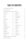### **TABLE OF CONTENTS**

| USING THIRTY VIRTUES THAT BUILD A MAN  17 |                   |  |  |  |
|-------------------------------------------|-------------------|--|--|--|
| RECEPTIVITY 18                            | PRODUCES 48       |  |  |  |
| ACTION20                                  |                   |  |  |  |
|                                           | BROTHERHOOD 52    |  |  |  |
|                                           | CORE BELIEFS. 54  |  |  |  |
| REPENTANCE26                              |                   |  |  |  |
| BELIEFS28                                 | VISION58          |  |  |  |
| IDENTITY30                                | MISSION 60        |  |  |  |
| RENEWING32                                |                   |  |  |  |
| KNOWING 34                                | SPIRITUAL GIFTS64 |  |  |  |
| UNDERSTANDING 36                          | FEEDBACK66        |  |  |  |
| SUBMISSION 38                             | TRUST68           |  |  |  |
| SACRIFICE 40                              |                   |  |  |  |
| OBEDIENCE 42                              | <b>CHANGE</b> 72  |  |  |  |
| SELF-DISCIPLINE 44                        | CONFLICT74        |  |  |  |
| PURPOSE 46                                | DELEGATION 76     |  |  |  |
|                                           |                   |  |  |  |
|                                           |                   |  |  |  |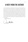### **A NOTE FROM THE AUTHOR**

I pray this experience will benefit your life and your spiritual growth as a man. I hope you will do three things as you engage. First, I pray that you will be receptive to the Word of God. I love that in Resolute, we dig into the Bible every time we meet. The Bible is not an ordinary book; it is the means of discovering God and spiritual transformation, but it requires a receptive man. Second, lean into brotherhood by inviting another man to join you for *Thirty Virtues That Build a Man*. Build a friendship, share transparently, and have conversations that go beyond the superficial and shallow conversations we have every day. Third, put into action what you have learned. Choose an action item each week, knowing that one small step weekly leads to success over a lifetime.

Keep moving forward,

( ice Mille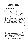### **ABOUT RESOLUTE**

#### **WE DISCIPLE & DEVELOP MEN TO LEAD**

We believe men are a strategic audience and force for change in the world and that God ordained men with power, authority, and the opportunity to define the world around them. While the culture would attempt to silence the voice of men by attacking their masculinity, exaggerating male shortcomings, and belittling their Christian worldview, we believe this is not the answer. The answer is to build better men. When we build better men, we build better homes, marriages, workplaces, and churches. When one man gets better, everyone gets better.

But we have an enemy.

The enemy is not the culture, opposing beliefs, media, politics, or even pornography. The enemy is apathy. It is the appeal of inaction that lies within a man's heart. At Resolute, we have discovered, after leading thousands of men through mentoring, that the only thing that stands between us and a new brotherhood of men is a single man and his willingness to defy the impulse of apathy. It is the silent voice that entices him to say nothing and do nothing when God has called him to action.

At Resolute, we provide men with easy-to-use tools that help them fight the impulse of apathy. Here are a few.

- 1. **ON YOUR OWN | THE MEN'S DAILY DEVOTIONAL** is our tool for getting men into the Bible daily. It is free to use and share. You can find it at www.beresolute/mdd.
- 2. **ONE ON ONE |** T*HIRTY VIRTUES THAT BUILD A MAN* is our tool for helping men build a brotherhood with the Bible. You can use it on your own, but it's always better to use with another man. You can use it again and again. You can find it at www.beresolute.org/thirty.
- 3. **IN A GROUP | MEN'S GROUP CONTENT** is for leading a group of men. There is no faster way to grow in your faith than to lead a group of men using small group videos for leaders and handbooks for participants. www.beresolute.org/videos.

Visit **www.beresolute.org** to view the full content available.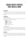### **USING THIRTY VIRTUES THAT BUILD A MAN**

#### **THE PURPOSE**

This 30-lesson guide is for men to use in private reflection or conversations with other men. It is written to invite character development conversations for men of any age, as well as spiritual development, and can be used repeatedly.

#### **THE PROCESS**

#### *1 | BUILD YOURSELF*

Read through one virtue each week and answer the questions within the lesson. Each lesson uses our B.U.I.L.D. process.

- **BEGIN** with the goal.
- **UNPACK** your thoughts.
- **INFORM** through the Bible.
- **LAND** on action steps.
- **DO** one action for one week.

#### *2 | BROTHER UP*

Take each lesson further by partnering up with another man. Use the 30 lessons as a mentoring and discipleship tool that takes all the guesswork out of a spiritual conversation. Brother up with a friend, neighbor, church member, associate, or relative.

#### **THE PAYOFF**

If you stay with the process for all 30 lessons, you will grow in character as a man of God. Often, men just need a plan to get moving spiritually. This book is a plan—a method and a process that results in outcomes with a rich spiritual payoff.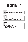## **RECEPTIVITY**

#### begin

**A man of God is receptive to God's truth over a lifetime.**

#### unpack

**What is the one task you had to do last week that you were unreceptive to doing?**

**What about the task, or you, made it objectionable?**

#### inform

**Read the text and make observations. How many soils are in the text? What are the characteristics of each? What does the "soil" represent?**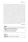**<sup>4</sup>** And when a great crowd was gathering and people from town after town came to him, he said in a parable, **5** "A sower went out to sow his seed. And as he sowed, some fell along the path and was trampled underfoot, and the birds of the air devoured it. **6** And some fell on the rock, and as it grew up, it withered away, because it had no moisture. **7** And some fell among thorns, and the thorns grew up with it and choked it. **8** And some fell into good soil and grew and yielded a hundredfold." As he said these things, he called out, "He who has ears to hear, let him hear." **9** And when his disciples asked him what this parable meant, **10** he said, "To you it has been given to know the secrets of the kingdom of God, but for others they are in parables, so that 'seeing they may not see, and hearing they may not understand.' **11** Now the parable is this: The seed is the word of God. **12** The ones along the path are those who have heard; then the devil comes and takes away the word from their hearts, so that they may not believe and be saved. **13** And the ones on the rock are those who, when they hear the word, receive it with joy. But these have no root; they believe for a while, and in time of testing fall away. **14** And as for what fell among the thorns, they are those who hear, but as they go on their way they are choked by the cares and riches and pleasures of life, and their fruit does not mature. **<sup>15</sup>** As for that in the good soil, they are those who, hearing the word, hold it fast in an honest and good heart, and bear fruit with patience.

**LUKE 8:4–15**

land

**Which soil do you represent? One or many? In what areas are you more receptive to the truth? What issues do you need to address? What steps do you need to take?**

do

**Ask someone to evaluate your receptivity.**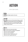## **ACTION**

A Man Fights Apathy

begin

A man of God fights apathy with action.

#### unpack

**As a kid, what was one of the dumbest things you did? What are the most prevalent sins you see taking down men in the home, work, or in churches today? Why?**

**What impact do these sins have on culture, business, families, and the church?**

#### inform

**Read the text and make observations.**

**What was the serpent's method of temptation?**

**What was woman's temptation?**

**What was man's temptation?**

**What was woman's response after sin?**

**What was man's response after sin?**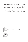<sup>1</sup>Now the serpent was more crafty than any other beast of the field that the Lord God had made. He said to the woman, "Did God actually say, 'You shall not eat of any tree in the garden'?" **<sup>2</sup>** And the woman said to the serpent, "We may eat of the fruit of the trees in the garden, **<sup>3</sup>** but God said, 'You shall not eat of the fruit of the tree that is in the midst of the garden, neither shall you touch it, lest you die.'" **<sup>4</sup>** But the serpent said to the woman, "You will not surely die. **<sup>5</sup>** For God knows that when you eat of it your eyes will be opened, and you will be like God, knowing good and evil." **<sup>6</sup>** So when the woman saw that the tree was good for food, and that it was a delight to the eyes, and that the tree was to be desired to make one wise, she took of its fruit and ate, and she also gave some to her husband who was with her, and he ate. **<sup>7</sup>** Then the eyes of both were opened, and they knew that they were naked. And they sewed fig leaves together and made themselves loincloths. **<sup>8</sup>** And they heard the sound of the Lord God walking in the garden in the cool of the day, and the man and his wife hid themselves from the presence of the Lord God among the trees of the garden. **<sup>9</sup>** But the Lord God called to the man and said to him, "Where are you?" **<sup>10</sup>** And he said, "I heard the sound of you in the garden, and I was afraid, because I was naked, and I hid myself." **<sup>11</sup>** He said, "Who told you that you were naked? Have you eaten of the tree of which I commanded you not to eat?" **<sup>12</sup>** The man said, "The woman whom you gave to be with me, she gave me fruit of the tree, and I ate." **<sup>13</sup>** Then the Lord God said to the woman, "What is this that you have done?" The woman said, "The serpent deceived me, and I ate."

#### **GENESIS 3:1–13**

#### **Where do you need to take action in your life? What steps do you need to take?**

do

land

**Decide one action step and do it.**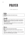### **PRAYER**

A Man Speaks Up



**A man of God talks to the God he loves.**



**What is your prayer pattern? (For example: how often do you pray, what do you typically pray about, what time of day do you pray?)**

**If you could change anything about your prayer patterns, what would you change?**

#### inform

**Read the text and make observations.**

**What did Jesus teach his men was the right motive for prayer?**

**From your reading of the Lord's Prayer, what are essential topics of a Christ-like prayer. List them.**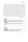**<sup>5</sup>**"And when you pray, you must not be like the hypocrites. For they love to stand and pray in the synagogues and at the street corners, that they may be seen by others. Truly, I say to you, they have received their reward. **6** But when you pray, go into your room and shut the door and pray to your Father who is in secret. And your Father who sees in secret will reward you. **7** "And when you pray, do not heap up empty phrases as the Gentiles do, for they think that they will be heard for their many words. **8** Do not be like them, for your Father knows what you need before you ask him. **9** Pray then like this: "Our Father in heaven, hallowed be your name. **10** Your kingdom come, your will be done, on earth as it is in heaven. **11** Give us this day our daily bread, **12** and forgive us our debts, as we also have forgiven our debtors. **13** And lead us not into temptation but deliver us from evil. **14** For if you forgive others their trespasses, your heavenly Father will also forgive you, **15** but if you do not forgive others their trespasses, neither will your Father forgive your trespasses."

**MATTHEW 6:5–15**

#### land

What are the most significant prayers you have ever prayed and the most significant answers you have ever **received?**

**What would you ask for prayer about right now in your life?**

#### do

**Deploy the A.C.T.S. method of prayer. (Adoration, Confession, Thanksgiving, and Supplication.)**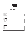### **FAITH**

A Man Muscles Up

begin

**A man battles human fear with a reverent fear.**

unpack

**Over the last few weeks, what themes or issues consumed your mental energy? Describe the situations.**

**What about these situations generated human fear?**

#### inform

**Over the last few weeks, what themes or issues consumed your mental energy? Describe the situations. What about these situations generated human fear?**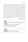**<sup>22</sup>**Immediately he made the disciples get into the boat and go before him to the other side, while he dismissed the crowds. **23** And after he had dismissed the crowds, he went up on the mountain by himself to pray. When evening came, he was there alone, **24** but the boat by this time was a long way from the land, beaten by the waves, for the wind was against them. **25** And in the fourth watch of the night he came to them, walking on the sea. **26** But when the disciples saw him walking on the sea, they were terrified, and said, "It is a ghost!" and they cried out in fear. **27** But immediately Jesus spoke to them, saying, "Take heart; it is I. Do not be afraid." **28** And Peter answered him, "Lord, if it is you, command me to come to you on the water." **29** He said, "Come." So Peter got out of the boat and walked on the water and came to Jesus. **30** But when he saw the wind, he was afraid, and beginning to sink he cried out, "Lord, save me." **31** Jesus immediately reached out his hand and took hold of him, saying to him, "O you of little faith, why did you doubt?" **32** And when they got into the boat, the wind ceased. **33** And those in the boat worshiped him, saying, "Truly you are the Son of God."

#### **MATTHEW 14:22–33**

#### land

**In what area do you sense Jesus inviting you to step out in faith?**

**What human fears do you need to address?**

**What steps do you need to take?**

do

**Identify and act on a faith decision today.**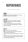## **REPENTANCE**

When Man Makes a Change

#### begin

**God's man feels the full responsibility of sin and then makes a change without looking back.**

#### unpack

**Identify one behavior you would like to change in someone you know. Explain how the undesirable behavior impacts you.**

**Can you recall the last time you heard a politician say, "I'm sorry"? Why is admitting failure or changing behavior so difficult?** 

#### inform

**Read the text and make observations.**

Why do you think repent is the first word Jesus ever **preached about in Matthew 4:17?**

**What is the promise for repentant people in 2 Chronicles 7:14?**

**What factors are involved in repentance for the younger brother in Luke 15:17–19? How do you think this young**  man would define repentance?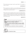**<sup>17</sup>**"From that time Jesus began to preach, saying, 'Repent, for the kingdom of heaven is at hand.'"

#### **MATTHEW 4:17**

**<sup>14</sup>**"If my people who are called by my name humble themselves and pray and seek my face and turn from their wicked ways, then I will hear from heaven and will forgive their sin and heal their land."

#### **2 CHRONICLES 7:14**

**<sup>17</sup>**"But when he came to himself, he said, 'How many of my father's hired servants have more than enough bread, but I perish here with hunger! **18** I will arise and go to my father, and I will say to him, "Father, I have sinned against heaven and before you. **19** I am no longer worthy to be called your son. Treat me as one of your hired servants."'

#### **LUKE 15:17–19**

#### land

**What have been the hardest thoughts, behaviors, or attitudes for you to change or repent of?**

**What do you need to repent of today? Consider whether your repentance is an issue of awareness, sorrow, action, or motivation.**

**What steps do you need take to embrace repentance?**

do

**Take steps of repentance today.**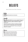### **BELIEFS**

Belief Determines Man's Direction

#### begin

**A man's beliefs determine his direction.**

#### unpack

**What corrupted belief do you see in society? Why do you believe people fall for this corrupted belief? (Consider the areas of business, politics, education, religion,**  finance, etc.)

**How have you blown it lately? Consider the negative behavior and the emotion that went with this failure.**

**Now share the "corrupt belief" that was driving this behavior or emotion.**

#### inform

**Read the text and make observations. What mindsets do you find in the text? What is the focus of these mindsets? What is the result of these mindsets?**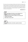<sup>5</sup>For those who live according to the flesh set their minds on the things of the flesh, but those who live according to the Spirit set their minds on the things of the Spirit. <sup>6</sup> For to set the mind on the flesh is death, but to set the mind on the Spirit is life and peace.<sup>7</sup> For the mind that is set on the flesh is hostile to God, for it does not submit to God's law; indeed, it cannot. **8** Those who are in the flesh cannot please God.

#### **ROMANS 8:5–8**



**mindset of the Spirit?**

**What steps can you take?**

do

**Remove distractions and build a spiritual mindset.**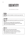## **IDENTITY**

The Definition of Man



God's man finds his identity in what God says about him.

#### unpack

**What is the most spectacular experience you have had in life?** 

**What about you changed after this experience?**

**What do you think of yourself as God's man on most days? Try to be open and honest.**

#### inform

**Read the text and make observations. How many times does Paul use the word "in"?** What attributes do we find "in Christ" or "in him?" **How does this text strengthen you?**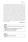**<sup>1</sup>**Paul, an apostle of Christ Jesus by the will of God, to the saints who are in Ephesus, and are faithful in Christ Jesus: **2** Grace to you and peace from God our Father and the Lord Jesus Christ. **3** Blessed be the God and Father of our Lord Jesus Christ, who has blessed us in Christ with every spiritual blessing in the heavenly places, **4** even as he chose us in him before the foundation of the world, that we should be holy and blameless before him. In love **5** he predestined us for adoption as sons through Jesus Christ, according to the purpose of his will, **6** to the praise of his glorious grace, with which he has blessed us in the Beloved. **7** In him we have redemption through his blood, the forgiveness of our trespasses, according to the riches of his grace, **8** which he lavished upon us, in all wisdom and insight **9** making known to us the mystery of his will, according to his purpose, which he set forth in Christ **10** as a plan for the fullness of time, to unite all things in him, things in heaven and things on earth. **<sup>11</sup>**In him we have obtained an inheritance, having been predestined according to the purpose of him who works all things according to the counsel of his will, <sup>12</sup> so that we who were the first to hope in Christ might be to the praise of his glory. **13** In him you also, when you heard the word of truth, the gospel of your salvation, and believed in him, were sealed with the promised Holy Spirit, **<sup>14</sup>**who is the guarantee of our inheritance until we acquire possession of it, to the praise of his glory.

#### **EPHESIANS 1:1–14**

**Do you think about yourself as Paul describes man in this** 

**What issues do you need to address to realize your identity like Paul does in Ephesians 1?**

**What steps do you need to take?**

do

**text?**

land

**View your identity today in Christ.**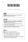### **RENEWING**

The Mindset of a Better Man

#### begin

**A man must renew his mindset every day because he lives in a rapidly changing world.**

#### unpack

As you were growing up, was there ever a significant **transformation you experienced physically, mentally, or emotionally? What was this like?**

**What is one of the most transformational insights you have gained to this point in life?**

**List the most damaging thoughts that people have about God that keep them from believing in God?**

#### inform

**Read the text and make observations.**

How would you define the word "conformed?"

How would you define the word "transformed?"

How would you define the word "renewal?"

**Why do you think Paul includes "humble thinking" as part of the process of renewing the mind?**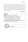**<sup>1</sup>**I appeal to you therefore, brothers, by the mercies of God, to present your bodies as a living sacrifice, holy and acceptable to God, which is your spiritual worship. **2** Do not be conformed to this world, but be transformed by the renewal of your mind, that by testing you may discern what is the will of God, what is good and acceptable and perfect. **3** For by the grace given to me I say to everyone among you not to think of himself more highly than he ought to think, but to think with sober judgment, each according to the measure of faith that God has assigned.

#### **ROMANS 12:1–3**

#### inform

**Read the text and make observations.**

How would you define the word "conformed?"

How would you define the word "transformed?"

How would you define the word "renewal?"

**Why do you think Paul includes "humble thinking" as part of the process of renewing the mind?**

do

**Renew your mind in one area.**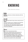### **KNOWING**

A Man Welcomes Intimacy

#### begin

**God's man welcomes an intimate relationship with God and others.**

#### unpack

**What prominent leader, living or dead, would you love to meet?**

If you were invited to eat at a significant event featuring **this leader, what would be your initial response?**

**How would your view of this leader change if he invited you to dine with him privately and he opened up to you his personal challenges?**

#### inform

**Read the text and make observations.**

**Thomas uses a different Greek word for the verb "to know" than Jesus uses. We cannot see this in our English text. Thomas' word for "to know" in verse 5 infers "propositional knowledge." Jesus' word for "to know" in verse 9 infers a "personal knowledge." With this**  understanding, how does the text read differently?

**What can you conclude from this understanding?**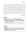**<sup>5</sup>**Thomas said to him, "Lord, we do not know where you are going. How can we know the way?" **6** Jesus said to him, "I am the way, and the truth, and the life. No one comes to the Father except through me. **7** If you had known me, you would have known my Father also. From now on you do know him and have seen him." **8** Philip said to him, "Lord, show us the Father, and it is enough for us." **9** Jesus said to him, "Have I been with you so long, and you still do not know me, Philip? Whoever has seen me has seen the Father. How can you say, 'Show us the Father'? **10** Do you not believe that I am in the Father and the Father is in me? The words that I say to you I do not speak on my own authority, but the Father who dwells in me does his works. **11** Believe me that I am in the Father and the Father is in me, or else believe on account of the works themselves.

**JOHN 14:5–11**



**What steps can you take to know God more intimately?**

do

land

**Engage in a discipline that will help you know God more intimately. Choose one of the following: praying, silence, reading, generosity, or service.**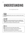## **UNDERSTANDING**

The Enlightened Man

#### begin

**A man enlightened by Jesus acts in contrast to the world.**

#### unpack

**What is one critical learning that has been enlightening for you in your family of origin, marriage, work, or church? How has this learning has impacted your life?**

#### inform

**Read the three texts and make observations. What does the word "light" represent in the texts? What does the word "darkness" represent? What is the assumed tool, or tools, for "illuminating?"**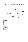**<sup>5</sup>**"This is the message we have heard from him and proclaim to you, that God is light, and in him is no darkness at all. **6** If we say we have fellowship with him while we walk in darkness, we lie and do not practice the truth. **7** But if we walk in the light, as he is in the light, we have fellowship with one another, and the blood of Jesus his son cleanses us from all sin. **8** If we say we have no sin, we deceive ourselves, and the truth is not in us. **9** If we confess our sins, he is faithful and just to forgive us our sins and to cleanse us from all unrighteousness. **<sup>10</sup>**If we say we have not sinned, we make him a liar, and his word is not in us.

**1 JOHN 1:5–10**

**<sup>105</sup>**"Thy word is a lamp unto my feet, and a light unto my path."

#### **PSALM 119:105**

**<sup>12</sup>**"Again Jesus spoke to them, saying, 'I am the light of the world. Whoever follows me will not walk in darkness, but will have the light of life.'"

#### **JOHN 8:12**



do

**Read the Bible book of 1 John.**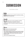# **SUBMISSION**

The Position of Man



**A man is someone who can submit to authority, knowing that he needs to be governed.**

## unpack

**What are reasons men run from authority? List three.**

**What are the blessings of authority? List three.**

**Is there ever a time we should not submit to authority?**  Be specific.

## inform

**Read the text and make observations.**

**What disturbs you about this text?**

**God created authority and government to govern people. Three of these institutions are government, church, and family/marriage. Why did God create them based on Romans 13:1–7?**

**How are we to respond to these?**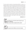<sup>1</sup>Let every person be subject to the governing authorities. For there is no authority except from God, and those that exist have been instituted by God. **<sup>2</sup>**Therefore whoever resists the authorities resists what God has appointed, and those who resist will incur judgment. **3** For rulers are not a terror to good conduct, but to bad. Would you have no fear of the one who is in authority? Then do what is good, and you will receive his approval, **4** for he is God's servant for your good. But if you do wrong, be afraid, for he does not bear the sword in vain. For he is the servant of God, an avenger who carries out God's wrath on the wrongdoer. **5** Therefore one must be in subjection, not only to avoid God's wrath but also for the sake of conscience. **6** For because of this you also pay taxes, for the authorities are ministers of God, attending to this very thing. **7** Pay to all what is owed to them: taxes to whom taxes are owed, revenue to whom revenue is owed, respect to whom respect is owed, honor to whom honor is owed.

#### **ROMANS 13:1–7**



**What steps can you take to implement this action?**

do

Pray for your government officials and church leaders.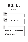# **SACRIFICE**

A Man Is a Giver



A man is willing to make hard sacrifices and does not **take but gives.**

unpack

**Why were sacrifices offered in the Old Testament?** When is the last time someone sacrificed for you? How do you think God would define sacrifice?

## inform

**Read the text and make observations.**

**How many times does Jesus say "cannot?"**

**Jesus requires the crowd to give up their family of origin for his mission. What would make this challenging for this crowd of followers?**

**What does the building parallel teach us?**

**What does the battle parallel teach us?**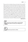**<sup>25</sup>**Large crowds were traveling with Jesus, and turning to them he said: **26** "If anyone comes to me and does not hate father and mother, wife and children, brothers and sisters—yes, even their own life—such a person cannot be my disciple. **27** And whoever does not carry their cross and follow me cannot be my disciple. <sup>28</sup> "Suppose one of you wants to build a tower. Won't you first sit down and estimate the cost to see if you have enough money to complete it? 29 For if you lay the foundation and are not able to finish it, everyone who sees it will ridicule you, **30** saying, 'This person began to build and wasn't able to finish.' **31** "Or suppose a king is about to go to war against another king. Won't he first sit down and consider whether he is able with ten thousand men to oppose the one coming against him with twenty thousand? **32** If he is not able, he will send a delegation while the other is still a long way off and will ask for terms of peace. **33** In the same way, those of you who do not give up everything you have cannot be my disciples. **34** "Salt is good, but if it loses its saltiness, how can it be made salty again? <sup>35</sup> It is fit neither for the soil nor for the manure pile; it is thrown out. "Whoever has ears to hear, let them hear."

**LUKE 14:25–35**

land

**What issues do you need to address, and what steps do you need to take to increase your willingness to**  sacrifice?

do

Sacrifice some of your time for a friend.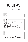# **OBEDIENCE**

A Man Is Compliant to God

## begin

**A man is radically compliant to God, knowing that obedience must be learned.**

### unpack

**Think about a person in your family of origin or extended family who is known for their disobedience. Take a moment to describe what they do and how their actions impact others.**

In culture, what defines obedience and disobedience? What are the complications of culture defining morality? **How does this need to be addressed?**

**What are the consequences of disobedience?** 

**What are the rewards of obedience?**

## inform

**Read the text and make observations. What are the two gates and their characteristics? What do you believe the "gate" represents? What do the "characteristics" of the gates represent?**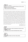**In verses 15–23 we are warned to beware. Of who, what, and why are we to beware? What are the fruits of obedience?** inform **(continued)**

**<sup>13</sup>** "Enter by the narrow gate. For the gate is wide and the way is easy that leads to destruction, and those who enter by it are many. **14** For the gate is narrow and the way is hard that leads to life, and those who find it are few. <sup>15</sup> Beware of false prophets, who come to you in sheep's clothing but inwardly are ravenous wolves. **16** You will recognize them by their fruits. Are grapes gathered from thorn bushes, or figs from thistles? <sup>17</sup> So, every healthy tree bears good fruit, but the diseased tree bears bad fruit. **18** A healthy tree cannot bear bad fruit, nor can a diseased tree bear good fruit. **19** Every tree that does not bear good fruit is cut down and thrown into the fire. <sup>20</sup> Thus you will recognize them by their fruits. **21** "Not everyone who says to me, 'Lord, Lord,' will enter the kingdom of heaven, but the one who does the will of my Father who is in heaven. **<sup>22</sup>**On that day many will say to me, 'Lord, Lord, did we not prophesy in your name, and cast out demons in your name, and do many mighty works in your name?' **23** And then will I declare to them, 'I never knew you; depart from me, you workers of lawlessness.'

#### **MATTHEW 7:15–23**

### land

**What voices do you need to eliminate to become more obedient to God?**

**What steps do you need to eliminate these voices?**

do

**When God prompts your heart, obey quickly.**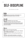# **SELF-DISCIPLINE**

The Practice of a Man



**A man welcomes and practices self-discipline as a**  means of diminishing the desires of the flesh.

## unpack

Define self-discipline in your own words.

**What keeps men from living with self-discipline?**

**List spiritual disciplines that a Christian man can use to build self-discipline. How do these spiritual disciplines build self-discipline?**

# inform

**Read the text and make observations.**

**Paul imagines two athletic events in the early "Olympic" games. What are the events?** 

**What spiritual lesson is Paul teaching using these two events?**

**What does "strict training" look like in a man's life? Describe in detail what you think Paul was addressing.**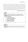**<sup>24</sup>**Do you not know that in a race all the runners run, but only one gets the prize? Run in such a way as to get the prize. **25** Everyone who competes in the games goes into strict training. They do it to get a crown that will not last, but we do it to get a crown that will last forever. **26** Therefore I do not run like someone running aimlessly; I do not fight like a boxer beating the air. **27** No, I strike a blow to my body and make it my slave so that after I have preached to others, I myself will not be disqualified for the prize.

#### **1 CORINTHIANS 9:24–27**

### land

do

**Name one spiritual discipline you would like to build?** Walk through the steps below and reflect how you can **build this discipline.**

- **1. CHOOSE a discipline.**
- **2. SCHEDULE the discipline.**
- **3. ACT on the discipline.**
- **4. TWEAK the discipline.**
- **5. REPEAT the process.**

**Focus on one spiritual discipline and build self-discipline.**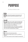# **PURPOSE**

The Reason Behind a Man

# begin

**God's man may look for purpose in possessions and**  professions, but he only finds real purpose in Jesus **Christ.**

## unpack

**Of the 3.5 billion men on earth, what percentage both know their purpose and live it? Make your best guess.**

Why do you believe men struggle to find purpose?

**What is the purpose of your business?**

**What is the purpose of your role within this company?**

**Does the connection between company purpose and your role result in purposefulness? Explain.**

# inform

**Read the text and make observations.**

**Why did God's people spend 70 years of captivity in Babylon?**

**What is God's promise to them through this experience?**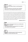# inform

**(continued)**

**What does God require of them in and through this captivity?**

**What is the outcome on the other side of captivity? What lesson is God hoping the people will learn?**

**<sup>10</sup>**For thus says the Lord: When seventy years are completed for Babylon, I will visit you, and I will fulfill to you my promise and bring you back to this place. **<sup>11</sup>**For I know the plans I have for you, declares the Lord, plans for welfare and not for evil, to give you a future and a hope. **12** Then you will call upon me and come and pray to me, and I will hear you.<sup>13</sup> You will seek me and find me, when you seek me with all your heart. **14** I will be found by you, declares the Lord, and I will restore your fortunes and gather you from all the nations and all the places where I have driven you, declares the Lord, and I will bring you back to the place from which I sent you into exile.

#### **JEREMIAH 29:10–14**

### land

**What lesson is God trying to teach you currently about His purpose in your life?**

**How would your life be more productive if you aligned your purpose with his purpose?**

do

**Align your vocational purpose to God's purpose by working in a manner that honors God.**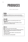# **PRODUCES**

A Man Yields Growth



A man never selfishly devours resources but instead understands that resources flow from Christ through him.

## unpack

**Do you feel like you are producing results in your spiritual life?** 

**What are the leading issue(s) that prohibit you from producing more spiritual results.**

## inform

**Read the text and make observations.**

**What vital activity is Jesus recommending for producing growth, and what does it look like for a man to be effective at this?** 

**What are we invited to abide in, and what are the promised results?**

**How well do you currently abide?**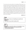**<sup>1</sup>**"I am the true vine, and my Father is the vinedresser. **2** Every branch in me that does not bear fruit he takes away, and every branch that does bear fruit he prunes, that it may bear more fruit. **3** Already you are clean because of the word that I have spoken to you.**4** Abide in me, and I in you. As the branch cannot bear fruit by itself, unless it abides in the vine, neither can you, unless you abide in me. **5** I am the vine; you are the branches. Whoever abides in me and I in him, he it is that bears much fruit, for apart from me you can do nothing. **6** If anyone does not abide in me he is thrown away like a branch and withers; and the branches are gathered, thrown into the fire, and burned. **7** If you abide in me, and my words abide in you, ask whatever you wish, and it will be done for you. <sup>8</sup> By this my Father is glorified, that you bear much fruit and so prove to be my disciples."

**JOHN 15:1–8**

**What issue, or issues, are impeding your growth and production?**

**What steps can you take to address this?**

do

land

**Memorize one verse from John 15:1–8 and abide in it. You can also take the Spiritual Fruit Assessment here: www.beresolute.org/sfa.**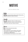# **MOTIVE**

The Force Behind a Man



God's man is aware that his motives will be influenced by **forces that attempt to satisfy his desires.**

## unpack

**Is it right to judge the motives of another person? How do you tell when a person is purely motivated? How do know when your motives are pure?**

## inform

**Read the text and make observations.**

**What is a hypocrite?**

**Why do hypocrites sound trumpets in the streets?**

**How does this "sounding your trumpet" relate to "practicing your righteousness?"**

**How does giving in secret expose our true motive?**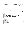**<sup>1</sup>**"Beware of practicing your righteousness before other people in order to be seen by them, for then you will have no reward from your Father who is in heaven. **2** "Thus, when you give to the needy, sound no trumpet before you, as the hypocrites do in the synagogues and in the streets, that they may be praised by others. Truly, I say to you, they have received their reward. **3** But when you give to the needy, do not let your left hand know what your right hand is doing, **4** so that your giving may be in secret. And your Father who sees in secret will reward you."

#### **MATTHEW 6:1–4**

### land

**Why do you need to monitor your motives? What steps do you need to take?**

### do

**Check your motive by performing an anonymous act of generosity for another man.**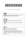# **BROTHERHOOD**

A Man Is Devoted to His Brothers

## begin

**A man of God, while enticed by autonomy, must live out his quest by linking arms with his brothers.**

# unpack

**Why do we spend so little time with other Christian brothers?**

**Make a short list of reasons men need other brothers in Christ?**

## inform

**Read the text and make observations.**

**Why does Jesus pray for our oneness?**

**Jesus gives us an example of the oneness between him and God. Describe the characteristic of this oneness.**

**What does "oneness" or "brotherhood" look like for men of God?**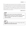**<sup>20</sup>**"I do not ask for these only, but also for those who will believe in me through their word, **21** that they may all be one, just as you, Father, are in me, and I in you, that they also may be in us, so that the world may believe that you have sent me. **22** The glory that you have given me I have given to them, that they may be one even as we are one, **23** I in them and you in me, that they may become perfectly one, so that the world may know that you sent me and loved them even as you loved me."

#### **JOHN 17:20–23**

## land

**What are the results of men living in brotherhood? How would these results have a positive impact your life? Who is a Christian man with whom you would like to spend more time?**

### do

**This week, give another man a copy of Thirty Virtues That Build a Man and build brotherhood.**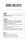# **CORE BELIEFS**

Man Leads from What He Believes

## begin

**God's man leads from his core beliefs, which guide how he thinks, feels, and acts.**

# unpack

**Discuss in detail a recent event that created some frustration or anxiety for you. It could be a tiny issue; for example, something you watched on the news or something that happened at work.**

**What were your thoughts about the event? Make sure to list them.**

**What do you think these thoughts say about your beliefs? Clarify if needed.**

**Discuss where you think you picked up this belief and whether this belief impacts other areas of your thinking.**

# inform

**Read the text and make observations.**

**Why does God care so much about idols?**

**What represents a "god" in today's culture**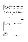# **What is the punishment for bowing down and serving these gods?** inform **(continued)**

**In contrast, what is the reward for worshipping God?**

**<sup>1</sup>** And God spoke all these words, saying, **<sup>2</sup>** "I am the Lord your God, who brought you out of the land of Egypt, out of the house of slavery. **<sup>3</sup>** You shall have no other gods before me. **<sup>4</sup>** "You shall not make for yourself a carved image, or any likeness of anything that is in heaven above, or that is in the earth beneath, or that is in the water under the earth. **<sup>5</sup>** You shall not bow down to them or serve them, for I the Lord your God am a jealous God, visiting the iniquity of the fathers on the children to the third and the fourth generation of those who hate me, **<sup>6</sup>** but showing steadfast love to thousands of those who love me and keep my commandments.

### **EXODUS 20:1–6**

# land

**What is one core belief that you picked up as a child? This belief might have been stated as an axiom and could be either positive or negative. Discuss how this impacted your beliefs then and today. (For example, "Big boys don't cry." "Man-up." "Stop being a baby."**

**Is it surprising to discover that core beliefs you are not aware of may infuence your life? How should a Christian man address this?**

do

**Make God the center of everything you do.**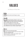# **VALUES**

The Measure of Every Man

# begin

**A man of God is driven by the things he values.**

## unpack

It's the middle of the night, and there is a fire in your **home. If you could save only one item, what would you choose? Explain your choice. (Assume your family and pets are already safely out of harm's way.)** 

**What value compelled you to choose this item?**

**Think about your family of origin. What value do you hold**  that is different from your family of origin? Explain.

# inform

**Read the text and make observations.**

**Notice the comparison between "lips" and "heart." What does this comparison infer?**

**What do you think "wonder upon wonder" means?**

**What is troubling about this text?**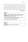**<sup>13</sup>**And the Lord said: "Because this people draw near with their mouth and honor me with their lips, while their hearts are far from me, and their fear of me is a commandment taught by men, **14** therefore, behold, I will again do wonderful things with this people, with wonder upon wonder; and the wisdom of their wise men shall perish, and the discernment of their discerning men shall be hidden." **15** Ah, you who hide deep from the Lord your counsel, whose deeds are in the dark, and who say, "Who sees us? Who knows us?"

#### **ISAIAH 29:13–15**

### land

**Write out your top personal values? Consider nouns like**  faith, teamwork, discipline, and generosity. Name five **that hold deep meaning for you.**

Describe each of your five values in detail in your own words. Give them any definition you like.

**How can you live up to these values?**

do

**Discuss one of your values with someone.**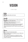# **VISION**

A Man's Sight



**God's man leads others with vision.**

## unpack

**Describe your relationship with your father growing up**  by reflecting on a story about him.

**How did your father parent you? Think about his methodology and try to describe it.**

**What principles did he live by in his fathering technique? What best practices were helpful for you as a child?**

**Tell your group partner why it's vital for you to be a great parent.**

# inform

**Read the text and make observations.**

**David is casting a vision for Solomon, his son. What is his statement of vision?**

**What is required of Solomon to complete the vision?**

**How often do you think David thought about the vision he gave to Solomon?**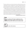**<sup>9</sup>**"And you, Solomon my son, know the God of your father and serve him with a whole heart and with a willing mind, for the Lord searches all hearts and understands every plan and thought. If you seek him, he will be found by you, but if you forsake him, he will cast you off forever. **10** Be careful now, for the Lord has chosen you to build a house for the sanctuary; be strong and do it."

**<sup>20</sup>**Then David said to Solomon his son, "Be strong and courageous and do it. Do not be afraid and do not be dismayed, for the Lord God, even my God, is with you. He will not leave you or forsake you, until all the work for the service of the house of the Lord is finished. <sup>21</sup> And behold the divisions of the priests and the Levites for all the service of the house of God; and with you in all the work will be every willing man who has skill for any kind of service; also the officers and all the people will be wholly at your command."

#### **1 CHRONICLES 28:9–10, 20–21**

land

**A vision is a picture of the future. It addresses some problem and provides a solution. What vision has God given you for your life? Write it out in 10 words or less.**

#### do

**Share your vision with someone.**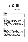# **MISSION**

What a Man Does with Vision

## begin

**A man of God lives out his vision with a mission statement.**

## unpack

**Imagine working in a business situation where your supervisor was unclear about your job duties. Why would this be frustrating?**

**Think of someone you know who has an apparent**  personal mission. What are the unseen benefits of how **this person lives?**

## inform

**Read the text and make observations.**

**Jonah was given a mission directly from God. Most men dream of this moment. Speculate about why Jonah ran from his God-given mission?**

**What does your conclusion teach us about the convergence of God's mission and our mission?**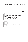**<sup>18</sup>**Where there is no prophetic vision the people cast off restraint but blessed is he who keeps the law.

#### **PROVERBS 29:18**

**<sup>1</sup>**Now the word of the Lord came to Jonah the son of Amittai, saying, **2** "Arise, go to Nineveh, that great city, and call out against it, for their evil has come up before me."<sup>3</sup> But Jonah rose to flee to Tarshish from the presence of the Lord. He went down to Joppa and found a ship going to Tarshish.

#### **JONAH 1:1–3**

### land

**Do you feel like you live in God's mission? Why or why not?**

**What issues do you need to address?**

**What steps can you take today?**

do

**Write out God's mission for your life. (Hint: Consider your God-given gifts and talents and the context in which they**  best fit.)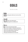# **GOALS**

The Aim of a Man



**God's man sets goals; otherwise, he aims and hits nothing.**

# unpack

**Why do people avoid setting goals? Why are goals good for our spiritual life?**

# inform

**Read the text and make observations. What are the strengths of Nehemiah's approach? What are the weaknesses of Nehemiah's approach? What are the opportunities for Nehemiah? What are the threats for Nehemiah? What goals did Nehemiah set in this text?**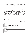**<sup>1</sup>**In the month of Nisan, in the twentieth year of King Artaxerxes, when wine was before him, I took up the wine and gave it to the king. Now I had not been sad in his presence. **2** And the king said to me, "Why is your face sad, seeing you are not sick? This is nothing but sadness of the heart." Then I was very much afraid. **3** I said to the king, "Let the king live forever! Why should not my face be sad, when the city, the place of my fathers' graves, lies in ruins, and its gates have been destroyed by fire?"<sup>4</sup> Then the king said to me, "What are you requesting?" So I prayed to the God of heaven. **5** And I said to the king, "If it pleases the king, and if your servant has found favor in your sight, that you send me to Judah, to the city of my fathers' graves, that I may rebuild it." **6** And the king said to me (the queen sitting beside him), "How long will you be gone, and when will you return?" So it pleased the king to send me when I had given him a time. **7** And I said to the king, "If it pleases the king, let letters be given me to the governors of the province Beyond the River, that they may let me pass through until I come to Judah, **8** and a letter to Asaph, the keeper of the king's forest, that he may give me timber to make beams for the gates of the fortress of the temple, and for the wall of the city, and for the house that I shall occupy." And the king granted me what I asked, for the good hand of my God was upon me.

#### **NEHEMIAH 2:1–8**



**next time: www.beresolute.org/sga.**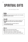# **SPIRITUAL GIFTS**

How God Equips a Man



A man of God uses his God-given gifts not for his benefit, but for the benefit of others.

# unpack

**If money was no object and you could do anything you wanted the rest of your life, what would you spend it doing?**

**Try our Spiritual Gifts Assessment online at www.beresolute.org/sga.**

## inform

**Read the text and make observations.**

**What does it mean to be a "living sacrifice"?** 

**What does it mean to be a "member" of the body?**

**How are our gifts used to help one another in the body?**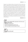**<sup>1</sup>**I appeal to you therefore, brothers, by the mercies of God, to present your bodies as a living sacrifice, holy and acceptable to God, which is your spiritual worship. **2** Do not be conformed to this world, but be transformed by the renewal of your mind, that by testing you may discern what is the will of God, what is good and acceptable and perfect. **3** For by the grace given to me I say to everyone among you not to think of himself more highly than he ought to think, but to think with sober judgment, each according to the measure of faith that God has assigned. **4** For as in one body we have many members, and the members do not all have the same function, **5** so we, though many, are one body in Christ, and individually members one of another. **6** Having gifts that differ according to the grace given to us, let us use them: if prophecy, in proportion to our faith; **7** if service, in our serving; the one who teaches, in his teaching; **8** the one who exhorts, in his exhortation; the one who contributes, in generosity; the one who leads, with zeal; the one who does acts of mercy, with cheerfulness.

#### **ROMANS 12:1–8**



**Based on your spiritual gifts assessment, what were your top 3–5 spiritual gifts?** 

**Which gift scored lowest?** 

**Was this assessment accurate for you?**

How do your gifts fit into the body of Christ?

do

**Use your top spiritual gift.**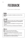# **FEEDBACK**

A Man Knows His Blind Spots

## begin

**God's man is receptive to feedback and invites it from others.**

# unpack

**Think of someone you know who is entirely unreceptive to feedback. Discuss why this person is unreceptive to receiving feedback.**

**What is the purpose of feedback? For the giver? For the receiver?**

**When is the last time you invited personal feedback?**

## inform

**Read the text and make observations.**

**Does Zedekiah appear open to feedback?**

**Consider what Jeremiah is risking by giving Zedekiah feedback?**

**What is the promise made by Zedekiah? Why do you think Zedekiah has to make this promise?**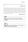**<sup>20</sup>**Listen to advice and accept instruction, that you may gain wisdom in the future.

#### **PROVERBS 19:20**

**<sup>14</sup>**King Zedekiah sent for Jeremiah the prophet and received him at the third entrance of the temple of the Lord. The king said to Jeremiah, "I will ask you a question; hide nothing from me." **15** Jeremiah said to Zedekiah, "If I tell you, will you not surely put me to death? And if I give you counsel, you will not listen to me." **16** Then King Zedekiah swore secretly to Jeremiah, "As the Lord lives, who made our souls, I will not put you to death or deliver you into the hand of these men who seek your life."

#### **JEREMIAH 38:14–16**

**How can you become more receptive to feedback? If you became more receptive, what results would this produce?**

do

land

**Ask someone you trust for feedback. Use the feedback tool here: www.beresolute.org/rsa.**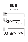# **TRUST**

A Man's Greatest Asset



**A man greatest asset in leadership is the trust he builds with those who follow him.**

## unpack

**Have you ever worked for a supervisor who micromanaged? How did this feel?**

List five activities of a leader that build trust.

**What is the relationship between trust and vulnerability?**

**Can you trust someone you fear?**

# inform

**Read the text and make observations. How does the Lord build trust with Joshua? What is required of Joshua to learn if he can trust God? What is the promise made to Joshua for trusting in God? How are trust and faith related?**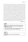**<sup>1</sup>**After the death of Moses the servant of the Lord, the Lord said to Joshua the son of Nun, Moses' assistant, **2** "Moses my servant is dead. Now therefore arise, go over this Jordan, you and all this people, into the land that I am giving to them, to the people of Israel. **3** Every place that the sole of your foot will tread upon I have given to you, just as I promised to Moses. **4** From the wilderness and this Lebanon as far as the great river, the river Euphrates, all the land of the Hittites to the Great Sea toward the going down of the sun shall be your territory. **5** No man shall be able to stand before you all the days of your life. Just as I was with Moses, so I will be with you. I will not leave you or forsake you. **6** Be strong and courageous, for you shall cause this people to inherit the land that I swore to their fathers to give them. **7** Only be strong and very courageous, being careful to do according to all the law that Moses my servant commanded you. Do not turn from it to the right hand or to the left, that you may have good success wherever you go. **8** This Book of the Law shall not depart from your mouth, but you shall meditate on it day and night, so that you may be careful to do according to all that is written in it. For then you will make your way prosperous, and then you will have good success. **9** Have I not commanded you? Be strong and courageous. Do not be frightened, and do not be dismayed, for the Lord your God is with you wherever you go."

**JOSHUA 1:1–9**

### land

**Which factor contributes most to those you place your trust in: their skill, how they care, or the integrity with which they do things?**

**How can you use skill, care, and integrity to build trust with those you lead or those who follow you?**

do

**Do what you say you will do and build trust.**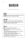# **MARGIN**

A Man's Load and Limits

## begin

**God's man is always aware of the space between his load and his limits, and he manages this margin.**

## unpack

**Share what an ideal, weekly schedule would look like?**

**Would you be more useful as a disciple and leader if you had a more balanced schedule? Why?**

# inform

**Read the text and make observations.**

What are the disciples' hope when they find their **desolate place?**

**What is the contrast in the response of Jesus versus the**  disciples? Why the different reactions?

**How does Jesus interact with people when their demands dictate a response from him?**

**Even though they are all tired, Jesus appears calm and centered. Why do you think this is?**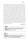**<sup>30</sup>**The apostles returned to Jesus and told him all that they had done and taught. **31** And he said to them, "Come away by yourselves to a desolate place and rest a while." For many were coming and going, and they had no leisure even to eat. **32** And they went away in the boat to a desolate place by themselves. **33** Now many saw them going and recognized them, and they ran there on foot from all the towns and got there ahead of them. **34** When he went ashore he saw a great crowd, and he had compassion on them, because they were like sheep without a shepherd. And he began to teach them many things. **<sup>35</sup>**And when it grew late, his disciples came to him and said, "This is a desolate place, and the hour is now late. **36** Send them away to go into the surrounding countryside and villages and buy themselves something to eat." **37** But he answered them, "You give them something to eat." And they said to him, "Shall we go and buy two hundred denarii worth of bread and give it to them to eat?" **38** And he said to them, "How many loaves do you have? Go and see." And when they had found out, they said, "Five, and two fish." <sup>39</sup> Then he commanded them all to sit down in groups on the green grass. **40** So they sat down in groups, by hundreds and by fifties.<sup>41</sup> And taking the five loaves and the two fish he looked up to heaven and said a blessing and broke the loaves and gave them to the disciples to set before the people. And he divided the two fish among them all. <sup>42</sup> And they all ate and were satisfied. <sup>43</sup> And they took up twelve baskets full of broken pieces and of the fish. <sup>44</sup> And those who ate the loaves were five thousand men

#### **MARK 6:30–44**

land

**What issues, demands, beliefs, or imposed values keep you from implementing a more balanced schedule? What steps do you need to take?**

#### do

Make space in your week for five minutes of personal **devotions each day. Try the Men's Daily Devotional on the Resolute website: www.beresolute.org/mdd.**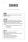# **CHANGE**

A Man Anticipates Change

## begin

**God's man understands that God does not change; therefore, he must.**

# unpack

What is the most significant change you have been **through in your life, and what made this change hard?**  (Be as specific and as transparent as possible.)

**When you hear these statements at work, what do they mean?** 

- **"That is not the way we do things around here."**
- **"It is what it is."**
- **"It's not my job."**

## inform

**Read the text and make observations.**

**What change is happening in the text, and why is this hard for both men?**

**What change does Saul experience?**

**What change does Ananias experience?**

**What are the risks for each man?**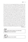**<sup>3</sup>**Now as he went on his way, he approached Damascus, and suddenly a light from heaven shone around him. **4** And falling to the ground he heard a voice saying to him, "Saul, Saul, why are you persecuting me?" **5** And he said, "Who are you, Lord?" And he said, "I am Jesus, whom you are persecuting. **6** But rise and enter the city, and you will be told what you are to do." **7** The men who were traveling with him stood speechless, hearing the voice but seeing no one. **8** Saul rose from the ground, and although his eyes were opened, he saw nothing. So they led him by the hand and brought him into Damascus. **9** And for three days he was without sight, and neither ate nor drank. **10** Now there was a disciple at Damascus named Ananias. The Lord said to him in a vision, "Ananias." And he said, "Here I am, Lord." **11** And the Lord said to him, "Rise and go to the street called Straight, and at the house of Judas look for a man of Tarsus named Saul, for behold, he is praying, **12** and he has seen in a vision a man named Ananias come in and lay his hands on him so that he might regain his sight." **13** But Ananias answered, "Lord, I have heard from many about this man, how much evil he has done to your saints at Jerusalem. **14** And here he has authority from the chief priests to bind all who call on your name." **15** But the Lord said to him, "Go, for he is a chosen instrument of mine to carry my name before the Gentiles and kings and the children of Israel. **16** For I will show him how much he must suffer for the sake of my name." **17** So Ananias departed and entered the house. And laying his hands on him he said, "Brother Saul, the Lord Jesus who appeared to you on the road by which you came has sent me so that you may regain your sight and be filled with the Holy Spirit." <sup>18</sup> And immediately something like scales fell from his eyes, and he regained his sight. Then he rose and was baptized; **19** and taking food, he was strengthened.

**ACTS 9:3–19**

**What change needs to happen in your life today? What steps do you need to take?**

do

land

**Make a change you have resisted.**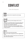# **CONFLICT**

A Man Who Responds

### begin

**God's man knows how to respond to and manage**  conflict.

### unpack

**Share a time that you had to disagree with a rule or approach.**

**When you are confronted with an issue that catches you by surprise, what is your primary emotional response? How about your secondary response?**

What tips or tricks help you deal with conflict when it **arises? (For example: "I try to not immediately respond to an angry person.")**

### inform

**Read the text and make observations.**

What is the conflict management process suggested by **Jesus?**

**How many steps are there in the process and what is the hope with each step taken?**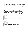**<sup>15</sup>**"If your brother sins against you, go and tell him his fault, between you and him alone. If he listens to you, you have gained your brother. **16** But if he does not listen, take one or two others along with you, that every charge may be established by the evidence of two or three witnesses. **17** If he refuses to listen to them, tell it to the church. And if he refuses to listen even to the church, let him be to you as a Gentile and a tax collector. **18** Truly, I say to you, whatever you bind on earth shall be bound in heaven, and whatever you loose on earth shall be loosed in heaven. **19** Again I say to you, if two of you agree on earth about anything they ask, it will be done for them by my Father in heaven. **20** For where two or three are gathered in my name, there am I among them."

#### **MATTHEW 18:15–20**

#### land

do

What part of the conflict process is hardest for you? **What steps do you need to take in the future during a**  conflict?

In your next conflict, thoughtfully respond.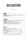# **DELEGATION**

A Man's Team



**God's man is competent in his ability and can delegate to those around him.**

### unpack

**Describe a situation where you have apprehension about delegating. Think about home or work.**

**There are many reasons we don't delegate. List them. Which of these reasons is the top 1–2 for you?**

#### inform

**Read the text and make observations.**

**What problem does Moses' father-in-law see in Moses' leadership process?**

**How does low self-awareness contribute to the problem for Moses?**

**What strategic change is recommended for Moses?**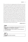**<sup>13</sup>**The next day Moses sat to judge the people, and the people stood around Moses from morning till evening. **14** When Moses' father-in-law saw all that he was doing for the people, he said, "What is this that you are doing for the people? Why do you sit alone, and all the people stand around you from morning till evening?" **15** And Moses said to his father-in-law, "Because the people come to me to inquire of God; **16** when they have a dispute, they come to me and I decide between one person and another, and I make them know the statutes of God and his laws." **17** Moses' father-in-law said to him, "What you are doing is not good. **18** You and the people with you will certainly wear yourselves out, for the thing is too heavy for you. You are not able to do it alone. **19** Now obey my voice; I will give you advice, and God be with you! You shall represent the people before God and bring their cases to God, **20** and you shall warn them about the statutes and the laws, and make them know the way in which they must walk and what they must do. **21** Moreover, look for able men from all the people, men who fear God, who are trustworthy and hate a bribe, and place such men over the people as chiefs of thousands, of hundreds, of fifties, and of tens. <sup>22</sup> And let them judge the people at all times. Every great matter they shall bring to you, but any small matter they shall decide themselves. So it will be easier for you, and they will bear the burden with you. **23** If you do this, God will direct you, you will be able to endure, and all this people also will go to their place in peace."

#### **EXODUS 18:13–23**

land

**How does your knowledge of self and situations play into your ability and willingness to delegate?**

**What issues do you need to address, and what steps do you need to take?**

do

**Delegate one task to someone.**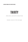**OUR NEXT BOOK IN THE THIRTY SERIES**

# **THIRTY**

### MEN WHO LIVED WITH CONVICTION

Sample a lesson on the next page.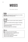# **MOSES**

The Master Mentor



**God's man understands that mentoring is not a choice but a mandate of following Christ.**

#### unpack

**Name an active or passive mentor (author, speaker) in your life?**

**What types of activities did they engage in mentoring you?**

**Have you ever formally mentored someone? If yes, describe what you did.**

**What keeps people from mentoring?**

### inform

**Read the text and make observations. What mentoring process is suggested here? What activities are involved? What is the skill required of the leader? What is the time allocation?**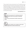**<sup>4</sup>**"Hear, O Israel: The Lord our God, the Lord is one. **5** You shall love the Lord your God with all your heart and with all your soul and with all your might. **<sup>6</sup>**And these words that I command you today shall be on your heart. **7** You shall teach them diligently to your children, and shall talk of them when you sit in your house, and when you walk by the way, and when you lie down, and when you rise. **8** You shall bind them as a sign on your hand, and they shall be as frontlets between your eyes. **9** You shall write them on the doorposts of your house and on your gates.

#### **DEUTERONOMY 6:4–9**

#### land

**What skills do you possess for mentoring someone? What allocation of time can you give to mentoring someone?**

**How can you use this book to mentor someone you know?**

do

**Buy this book for another man, and either mentor them or encourage them to mentor someone else.**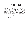## **ABOUT THE AUTHOR**

Vince Miller grew up on the West Coast and was born in Vallejo, California, where he spent his childhood. At age 20, he made a profession of faith, and while in college, he felt a call to work in full-time ministry. After college and graduate school, Vince invested two decades working with notable ministries like Young Life, Intervarsity Christian Fellowship, the local church, and in senior interim and teaching roles. He currently lives in St. Paul, Minnesota with Christina, his wife. They have three children—Faith, Grant, and Riley.

Vince is an authentic and transparent leader who loves to communicate to men and has a deep passion for God's Word. He has authored numerous books and small group guides for men, and he is the primary creator of all Resolute content and training materials.

See Vince's profile here: **www.beresolute.org/vince-miller**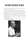# **KEYNOTE SPEAKER TO MEN**

Are you looking for a motivational and engaging communicator for your next men's retreat, conference, or event?

Engage men with a powerful message and inspire your men to action.

Like many young men, Vince Miller, born in the California, Bay Area, grew up without a father in the home. However, after his mother's second failed marriage, his grandfather took him in and mentored him into manhood. His compelling story of the problem and need for building better men has impassioned thousands of men to live with greater conviction and become the men God intended them to be. Prepare to be challenged with his message entitled, "Build Better Men."

To find out more or reach out to Vince Miller directly, go to our website. **www.beresolute.org/vince-miller**

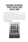## **DISTRIBUTE OR DONATE THIRTY VIRTUES THAT BUILD A MAN**

Are you looking for an easy way to support men who are searching for mentors or brotherhood in line with God's Word?

If you would like, you can purchase more copies of *Thirty Virtues That Build a Man* and distribute them to men in need. We are looking for donors to provide boxes of books to men living in halfway homes, prisons, and detox centers. We are also looking for supporters to help us distribute boxes to colleges, universities, and men serving in the armed forces. Just visit our website to gift a box of 60 or more books to men of your choosing or connect us to people who you feel can help.

#### **www.beresolute.org/thirty**

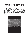# **GROUP CONTENT FOR MEN**

Are you looking for small group content for men?

Resolute has a growing library of video-led content that men across the country use for their existing men's small groups. Try one of our many popular multi-week studies. Begin with *Attributes for Men*, which leads a group in ten sessions through nine life-altering attributes modeled by the ultimate man, Jesus Christ.

Check out the trailer and material on the website.

#### **www.beresolute.org/attributes-promo**

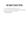# **THE MEN'S DAILY DEVO**

Do you need a great daily devotional made just for men?

If you have not tapped into the Men's Daily Devotional, then you need to get it today. It consists of short, daily devotionals that you can use and share with other men. You can subscribe on the website.

**www.beresolute.org/mdd**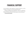## **FINANCIAL SUPPORT**

Are you looking for a great organization to support that believes in putting the Bible in the hands of men and promoting brotherhood?

Resolute is a 501(c)(3) non-profit organization. All gifts to our organization are tax deductible. Consider partnering with us so we can continue to put resources in the hands of men who cannot afford our tools and resources.

#### **www.beresolute.org/donate**